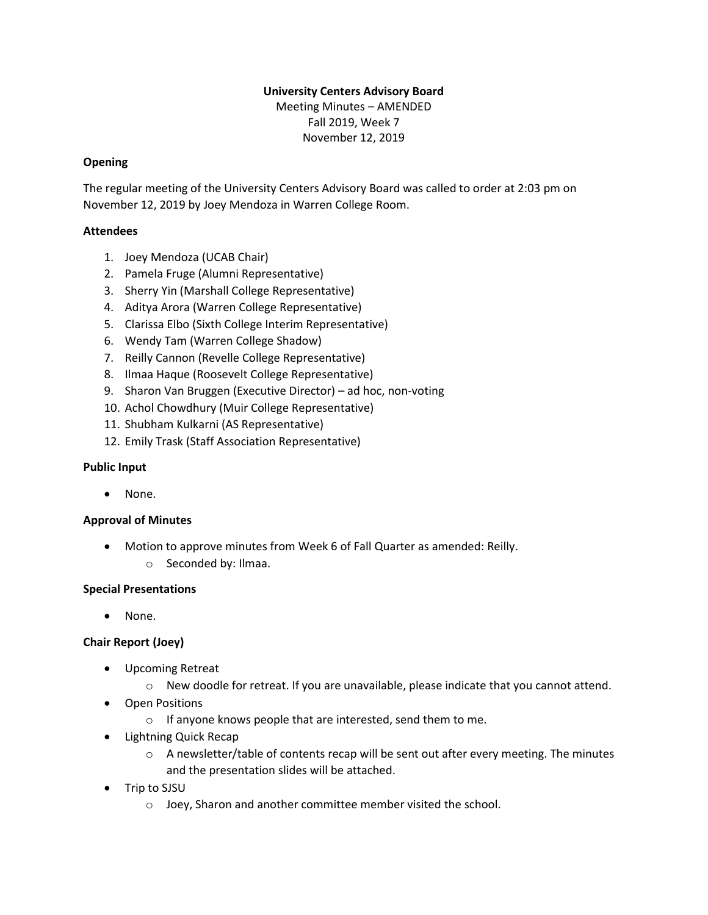### **University Centers Advisory Board**

Meeting Minutes – AMENDED Fall 2019, Week 7 November 12, 2019

### **Opening**

The regular meeting of the University Centers Advisory Board was called to order at 2:03 pm on November 12, 2019 by Joey Mendoza in Warren College Room.

### **Attendees**

- 1. Joey Mendoza (UCAB Chair)
- 2. Pamela Fruge (Alumni Representative)
- 3. Sherry Yin (Marshall College Representative)
- 4. Aditya Arora (Warren College Representative)
- 5. Clarissa Elbo (Sixth College Interim Representative)
- 6. Wendy Tam (Warren College Shadow)
- 7. Reilly Cannon (Revelle College Representative)
- 8. Ilmaa Haque (Roosevelt College Representative)
- 9. Sharon Van Bruggen (Executive Director) ad hoc, non-voting
- 10. Achol Chowdhury (Muir College Representative)
- 11. Shubham Kulkarni (AS Representative)
- 12. Emily Trask (Staff Association Representative)

### **Public Input**

• None.

# **Approval of Minutes**

• Motion to approve minutes from Week 6 of Fall Quarter as amended: Reilly. o Seconded by: Ilmaa.

### **Special Presentations**

• None.

# **Chair Report (Joey)**

- Upcoming Retreat
	- o New doodle for retreat. If you are unavailable, please indicate that you cannot attend.
- Open Positions
	- o If anyone knows people that are interested, send them to me.
- Lightning Quick Recap
	- $\circ$  A newsletter/table of contents recap will be sent out after every meeting. The minutes and the presentation slides will be attached.
- Trip to SJSU
	- o Joey, Sharon and another committee member visited the school.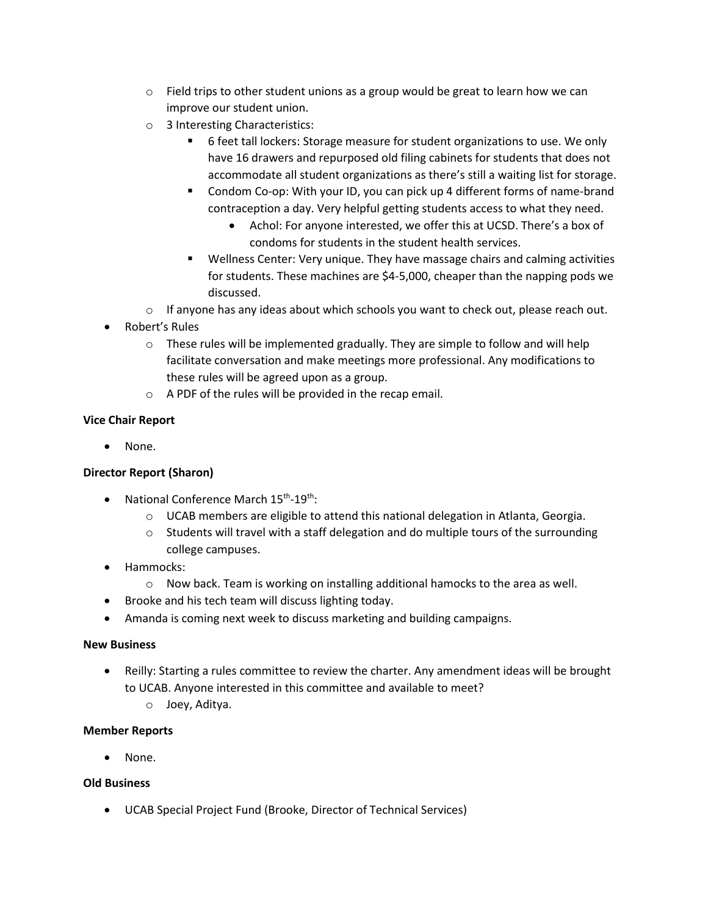- $\circ$  Field trips to other student unions as a group would be great to learn how we can improve our student union.
- o 3 Interesting Characteristics:
	- 6 feet tall lockers: Storage measure for student organizations to use. We only have 16 drawers and repurposed old filing cabinets for students that does not accommodate all student organizations as there's still a waiting list for storage.
	- Condom Co-op: With your ID, you can pick up 4 different forms of name-brand contraception a day. Very helpful getting students access to what they need.
		- Achol: For anyone interested, we offer this at UCSD. There's a box of condoms for students in the student health services.
	- Wellness Center: Very unique. They have massage chairs and calming activities for students. These machines are \$4-5,000, cheaper than the napping pods we discussed.
- $\circ$  If anyone has any ideas about which schools you want to check out, please reach out.
- Robert's Rules
	- $\circ$  These rules will be implemented gradually. They are simple to follow and will help facilitate conversation and make meetings more professional. Any modifications to these rules will be agreed upon as a group.
	- o A PDF of the rules will be provided in the recap email.

# **Vice Chair Report**

None.

# **Director Report (Sharon)**

- National Conference March 15<sup>th</sup>-19<sup>th</sup>:
	- $\circ$  UCAB members are eligible to attend this national delegation in Atlanta, Georgia.
	- $\circ$  Students will travel with a staff delegation and do multiple tours of the surrounding college campuses.
- Hammocks:
	- o Now back. Team is working on installing additional hamocks to the area as well.
- Brooke and his tech team will discuss lighting today.
- Amanda is coming next week to discuss marketing and building campaigns.

### **New Business**

- Reilly: Starting a rules committee to review the charter. Any amendment ideas will be brought to UCAB. Anyone interested in this committee and available to meet?
	- o Joey, Aditya.

### **Member Reports**

None.

### **Old Business**

• UCAB Special Project Fund (Brooke, Director of Technical Services)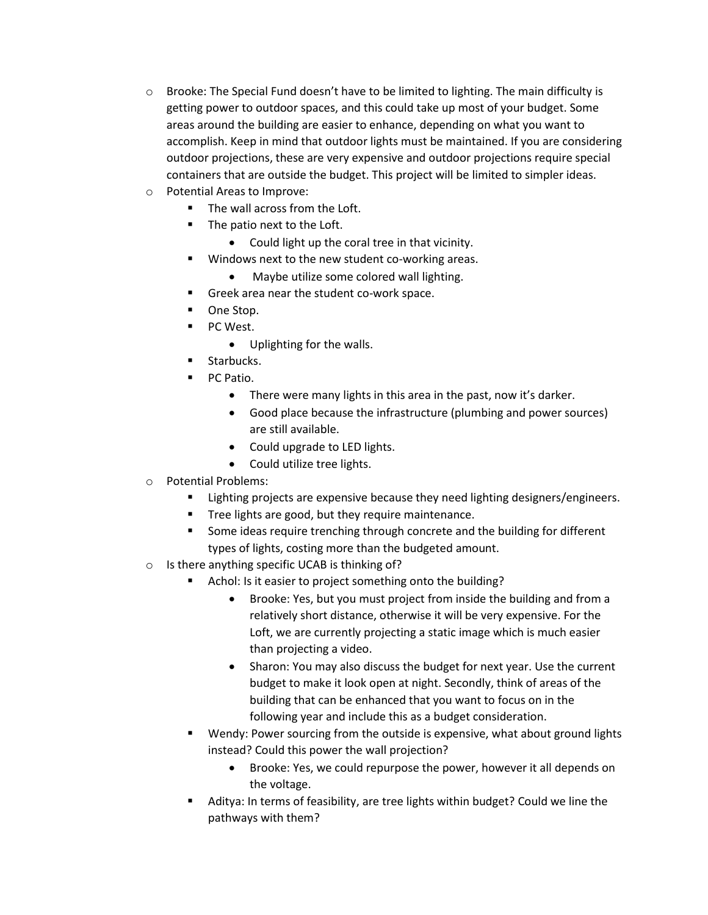- $\circ$  Brooke: The Special Fund doesn't have to be limited to lighting. The main difficulty is getting power to outdoor spaces, and this could take up most of your budget. Some areas around the building are easier to enhance, depending on what you want to accomplish. Keep in mind that outdoor lights must be maintained. If you are considering outdoor projections, these are very expensive and outdoor projections require special containers that are outside the budget. This project will be limited to simpler ideas.
- o Potential Areas to Improve:
	- The wall across from the Loft.
	- The patio next to the Loft.
		- Could light up the coral tree in that vicinity.
	- Windows next to the new student co-working areas.
		- Maybe utilize some colored wall lighting.
	- Greek area near the student co-work space.
	- One Stop.
	- PC West.
		- Uplighting for the walls.
	- Starbucks.
	- PC Patio.
		- There were many lights in this area in the past, now it's darker.
		- Good place because the infrastructure (plumbing and power sources) are still available.
		- Could upgrade to LED lights.
		- Could utilize tree lights.
- o Potential Problems:
	- Lighting projects are expensive because they need lighting designers/engineers.
	- Tree lights are good, but they require maintenance.
	- Some ideas require trenching through concrete and the building for different types of lights, costing more than the budgeted amount.
- o Is there anything specific UCAB is thinking of?
	- Achol: Is it easier to project something onto the building?
		- Brooke: Yes, but you must project from inside the building and from a relatively short distance, otherwise it will be very expensive. For the Loft, we are currently projecting a static image which is much easier than projecting a video.
		- Sharon: You may also discuss the budget for next year. Use the current budget to make it look open at night. Secondly, think of areas of the building that can be enhanced that you want to focus on in the following year and include this as a budget consideration.
	- Wendy: Power sourcing from the outside is expensive, what about ground lights instead? Could this power the wall projection?
		- Brooke: Yes, we could repurpose the power, however it all depends on the voltage.
	- Aditya: In terms of feasibility, are tree lights within budget? Could we line the pathways with them?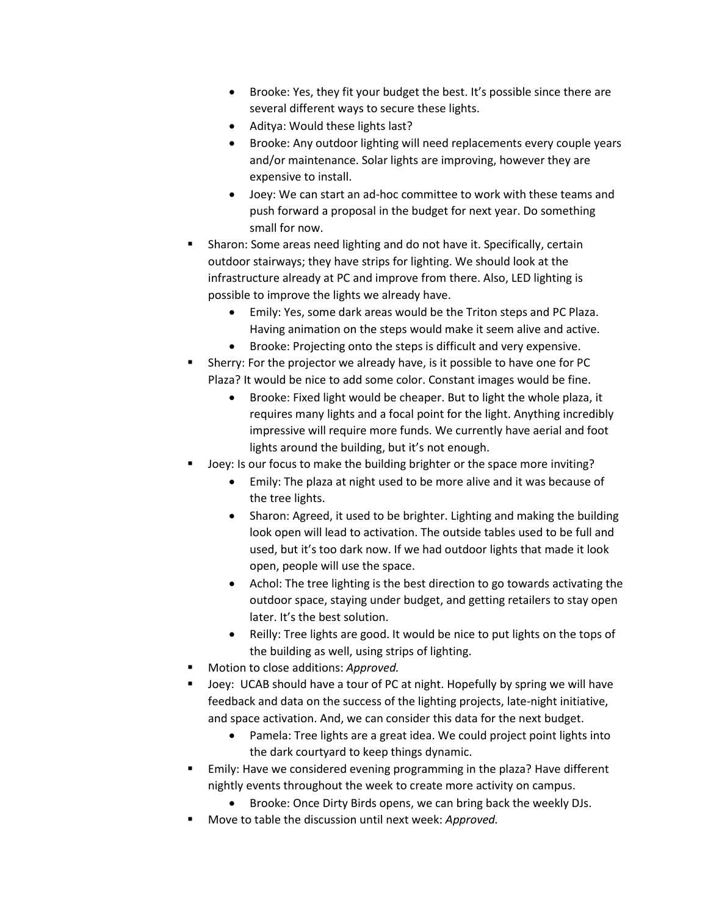- Brooke: Yes, they fit your budget the best. It's possible since there are several different ways to secure these lights.
- Aditya: Would these lights last?
- Brooke: Any outdoor lighting will need replacements every couple years and/or maintenance. Solar lights are improving, however they are expensive to install.
- Joey: We can start an ad-hoc committee to work with these teams and push forward a proposal in the budget for next year. Do something small for now.
- Sharon: Some areas need lighting and do not have it. Specifically, certain outdoor stairways; they have strips for lighting. We should look at the infrastructure already at PC and improve from there. Also, LED lighting is possible to improve the lights we already have.
	- Emily: Yes, some dark areas would be the Triton steps and PC Plaza. Having animation on the steps would make it seem alive and active.
	- Brooke: Projecting onto the steps is difficult and very expensive.
- Sherry: For the projector we already have, is it possible to have one for PC Plaza? It would be nice to add some color. Constant images would be fine.
	- Brooke: Fixed light would be cheaper. But to light the whole plaza, it requires many lights and a focal point for the light. Anything incredibly impressive will require more funds. We currently have aerial and foot lights around the building, but it's not enough.
- Joey: Is our focus to make the building brighter or the space more inviting?
	- Emily: The plaza at night used to be more alive and it was because of the tree lights.
	- Sharon: Agreed, it used to be brighter. Lighting and making the building look open will lead to activation. The outside tables used to be full and used, but it's too dark now. If we had outdoor lights that made it look open, people will use the space.
	- Achol: The tree lighting is the best direction to go towards activating the outdoor space, staying under budget, and getting retailers to stay open later. It's the best solution.
	- Reilly: Tree lights are good. It would be nice to put lights on the tops of the building as well, using strips of lighting.
- Motion to close additions: Approved.
- Joey: UCAB should have a tour of PC at night. Hopefully by spring we will have feedback and data on the success of the lighting projects, late-night initiative, and space activation. And, we can consider this data for the next budget.
	- Pamela: Tree lights are a great idea. We could project point lights into the dark courtyard to keep things dynamic.
- Emily: Have we considered evening programming in the plaza? Have different nightly events throughout the week to create more activity on campus.
	- Brooke: Once Dirty Birds opens, we can bring back the weekly DJs.
- Move to table the discussion until next week: Approved.